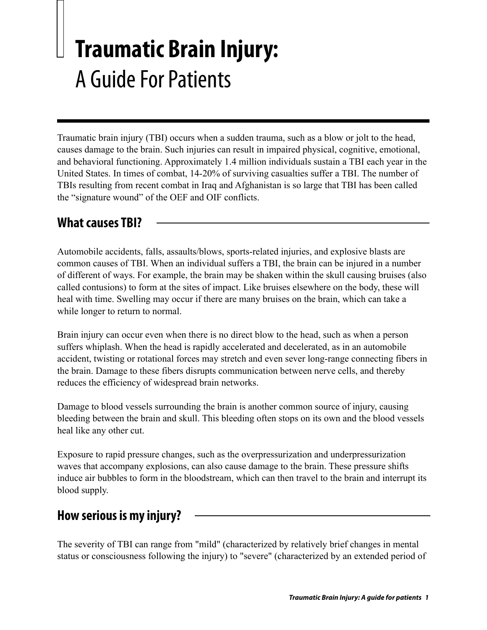# **Traumatic Brain Injury:** A Guide For Patients

Traumatic brain injury (TBI) occurs when a sudden trauma, such as a blow or jolt to the head, causes damage to the brain. Such injuries can result in impaired physical, cognitive, emotional, and behavioral functioning. Approximately 1.4 million individuals sustain a TBI each year in the United States. In times of combat, 14-20% of surviving casualties suffer a TBI. The number of TBIs resulting from recent combat in Iraq and Afghanistan is so large that TBI has been called the "signature wound" of the OEF and OIF conflicts.

## **What causes TBI?**

Automobile accidents, falls, assaults/blows, sports-related injuries, and explosive blasts are common causes of TBI. When an individual suffers a TBI, the brain can be injured in a number of different of ways. For example, the brain may be shaken within the skull causing bruises (also called contusions) to form at the sites of impact. Like bruises elsewhere on the body, these will heal with time. Swelling may occur if there are many bruises on the brain, which can take a while longer to return to normal.

Brain injury can occur even when there is no direct blow to the head, such as when a person suffers whiplash. When the head is rapidly accelerated and decelerated, as in an automobile accident, twisting or rotational forces may stretch and even sever long-range connecting fibers in the brain. Damage to these fibers disrupts communication between nerve cells, and thereby reduces the efficiency of widespread brain networks.

Damage to blood vessels surrounding the brain is another common source of injury, causing bleeding between the brain and skull. This bleeding often stops on its own and the blood vessels heal like any other cut.

Exposure to rapid pressure changes, such as the overpressurization and underpressurization waves that accompany explosions, can also cause damage to the brain. These pressure shifts induce air bubbles to form in the bloodstream, which can then travel to the brain and interrupt its blood supply.

# **How serious is my injury?**

The severity of TBI can range from "mild" (characterized by relatively brief changes in mental status or consciousness following the injury) to "severe" (characterized by an extended period of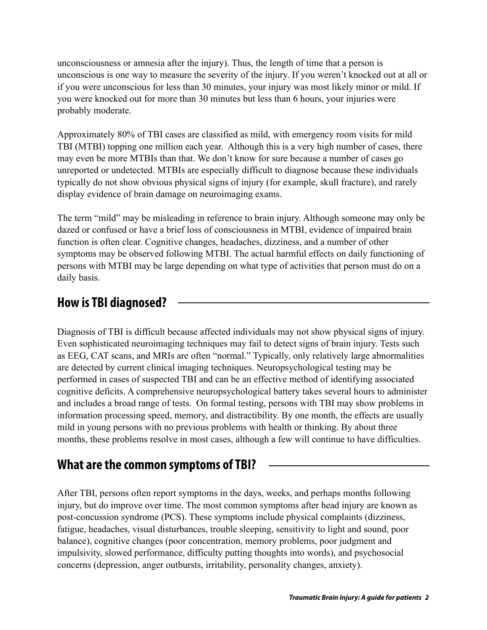unconsciousness or amnesia after the injury). Thus, the length of time that a person is unconscious is one way to measure the severity of the injury. If you weren't knocked out at all or if you were unconscious for less than 30 minutes, your injury was most likely minor or mild. If you were knocked out for more than 30 minutes but less than 6 hours, your injuries were probably moderate.

Approximately 80% of TBI cases are classified as mild, with emergency room visits for mild TBI (MTBI) topping one million each year. Although this is a very high number of cases, there may even be more MTBIs than that. We don't know for sure because a number of cases go unreported or undetected. MTBIs are especially difficult to diagnose because these individuals typically do not show obvious physical signs of injury (for example, skull fracture), and rarely display evidence of brain damage on neuroimaging exams.

The term "mild" may be misleading in reference to brain injury. Although someone may only be dazed or confused or have a brief loss of consciousness in MTBI, evidence of impaired brain function is often clear. Cognitive changes, headaches, dizziness, and a number of other symptoms may be observed following MTBI. The actual harmful effects on daily functioning of persons with MTBI may be large depending on what type of activities that person must do on a daily basis.

## **How is TBI diagnosed?**

Diagnosis of TBI is difficult because affected individuals may not show physical signs of injury. Even sophisticated neuroimaging techniques may fail to detect signs of brain injury. Tests such as EEG, CAT scans, and MRIs are often "normal." Typically, only relatively large abnormalities are detected by current clinical imaging techniques. Neuropsychological testing may be performed in cases of suspected TBI and can be an effective method of identifying associated cognitive deficits. A comprehensive neuropsychological battery takes several hours to administer and includes a broad range of tests. On formal testing, persons with TBI may show problems in information processing speed, memory, and distractibility. By one month, the effects are usually mild in young persons with no previous problems with health or thinking. By about three months, these problems resolve in most cases, although a few will continue to have difficulties.

## **What are the common symptoms of TBI?**

After TBI, persons often report symptoms in the days, weeks, and perhaps months following injury, but do improve over time. The most common symptoms after head injury are known as post-concussion syndrome (PCS). These symptoms include physical complaints (dizziness, fatigue, headaches, visual disturbances, trouble sleeping, sensitivity to light and sound, poor balance), cognitive changes (poor concentration, memory problems, poor judgment and impulsivity, slowed performance, difficulty putting thoughts into words), and psychosocial concerns (depression, anger outbursts, irritability, personality changes, anxiety).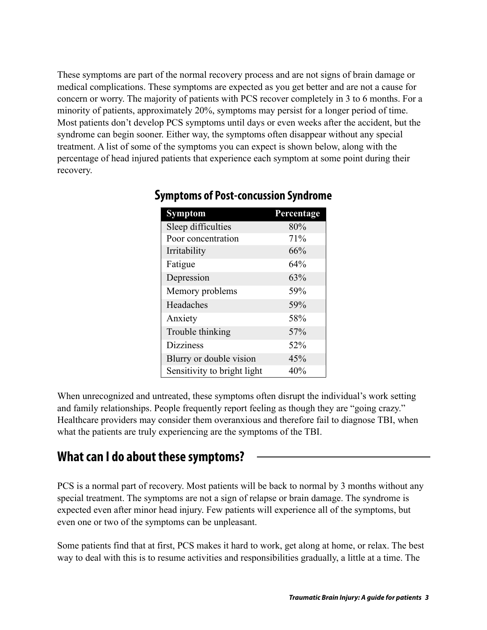These symptoms are part of the normal recovery process and are not signs of brain damage or medical complications. These symptoms are expected as you get better and are not a cause for concern or worry. The majority of patients with PCS recover completely in 3 to 6 months. For a minority of patients, approximately 20%, symptoms may persist for a longer period of time. Most patients don't develop PCS symptoms until days or even weeks after the accident, but the syndrome can begin sooner. Either way, the symptoms often disappear without any special treatment. A list of some of the symptoms you can expect is shown below, along with the percentage of head injured patients that experience each symptom at some point during their recovery.

| <b>Symptom</b>              | Percentage |
|-----------------------------|------------|
| Sleep difficulties          | 80%        |
| Poor concentration          | 71%        |
| Irritability                | 66%        |
| Fatigue                     | 64%        |
| Depression                  | 63%        |
| Memory problems             | 59%        |
| Headaches                   | 59%        |
| Anxiety                     | 58%        |
| Trouble thinking            | 57%        |
| <b>Dizziness</b>            | 52%        |
| Blurry or double vision     | 45%        |
| Sensitivity to bright light | 40%        |

## **Symptoms of Post-concussion Syndrome**

When unrecognized and untreated, these symptoms often disrupt the individual's work setting and family relationships. People frequently report feeling as though they are "going crazy." Healthcare providers may consider them overanxious and therefore fail to diagnose TBI, when what the patients are truly experiencing are the symptoms of the TBI.

# **What can I do about these symptoms?**

PCS is a normal part of recovery. Most patients will be back to normal by 3 months without any special treatment. The symptoms are not a sign of relapse or brain damage. The syndrome is expected even after minor head injury. Few patients will experience all of the symptoms, but even one or two of the symptoms can be unpleasant.

Some patients find that at first, PCS makes it hard to work, get along at home, or relax. The best way to deal with this is to resume activities and responsibilities gradually, a little at a time. The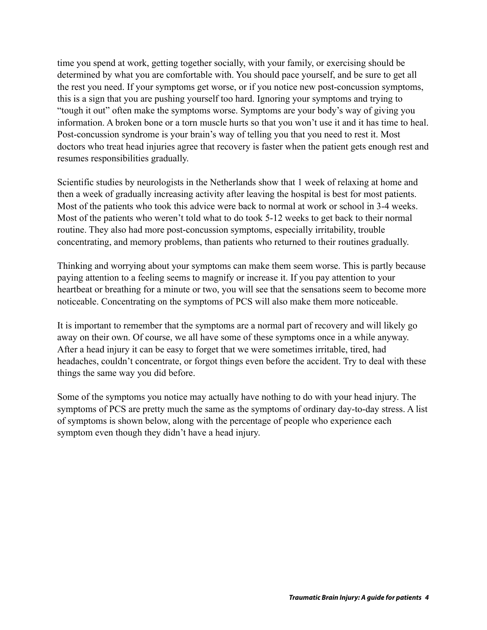time you spend at work, getting together socially, with your family, or exercising should be determined by what you are comfortable with. You should pace yourself, and be sure to get all the rest you need. If your symptoms get worse, or if you notice new post-concussion symptoms, this is a sign that you are pushing yourself too hard. Ignoring your symptoms and trying to "tough it out" often make the symptoms worse. Symptoms are your body's way of giving you information. A broken bone or a torn muscle hurts so that you won't use it and it has time to heal. Post-concussion syndrome is your brain's way of telling you that you need to rest it. Most doctors who treat head injuries agree that recovery is faster when the patient gets enough rest and resumes responsibilities gradually.

Scientific studies by neurologists in the Netherlands show that 1 week of relaxing at home and then a week of gradually increasing activity after leaving the hospital is best for most patients. Most of the patients who took this advice were back to normal at work or school in 3-4 weeks. Most of the patients who weren't told what to do took 5-12 weeks to get back to their normal routine. They also had more post-concussion symptoms, especially irritability, trouble concentrating, and memory problems, than patients who returned to their routines gradually.

Thinking and worrying about your symptoms can make them seem worse. This is partly because paying attention to a feeling seems to magnify or increase it. If you pay attention to your heartbeat or breathing for a minute or two, you will see that the sensations seem to become more noticeable. Concentrating on the symptoms of PCS will also make them more noticeable.

It is important to remember that the symptoms are a normal part of recovery and will likely go away on their own. Of course, we all have some of these symptoms once in a while anyway. After a head injury it can be easy to forget that we were sometimes irritable, tired, had headaches, couldn't concentrate, or forgot things even before the accident. Try to deal with these things the same way you did before.

Some of the symptoms you notice may actually have nothing to do with your head injury. The symptoms of PCS are pretty much the same as the symptoms of ordinary day-to-day stress. A list of symptoms is shown below, along with the percentage of people who experience each symptom even though they didn't have a head injury.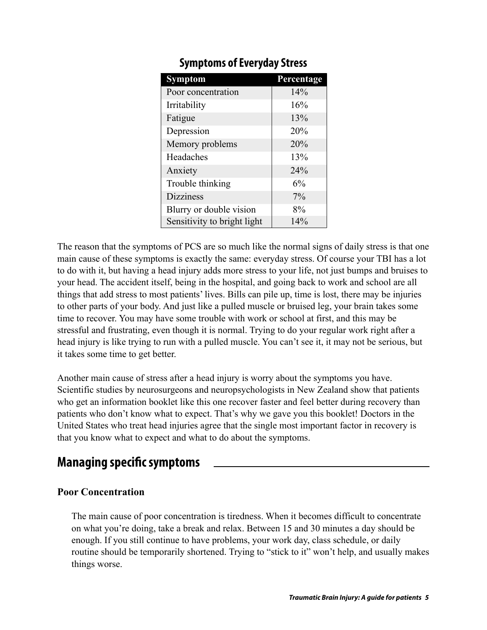| <b>Symptom</b>              | Percentage |
|-----------------------------|------------|
| Poor concentration          | 14%        |
| Irritability                | 16%        |
| Fatigue                     | 13%        |
| Depression                  | 20%        |
| Memory problems             | 20%        |
| Headaches                   | 13%        |
| Anxiety                     | 24%        |
| Trouble thinking            | 6%         |
| <b>Dizziness</b>            | 7%         |
| Blurry or double vision     | 8%         |
| Sensitivity to bright light | 14%        |

## **Symptoms of Everyday Stress**

The reason that the symptoms of PCS are so much like the normal signs of daily stress is that one main cause of these symptoms is exactly the same: everyday stress. Of course your TBI has a lot to do with it, but having a head injury adds more stress to your life, not just bumps and bruises to your head. The accident itself, being in the hospital, and going back to work and school are all things that add stress to most patients' lives. Bills can pile up, time is lost, there may be injuries to other parts of your body. And just like a pulled muscle or bruised leg, your brain takes some time to recover. You may have some trouble with work or school at first, and this may be stressful and frustrating, even though it is normal. Trying to do your regular work right after a head injury is like trying to run with a pulled muscle. You can't see it, it may not be serious, but it takes some time to get better.

Another main cause of stress after a head injury is worry about the symptoms you have. Scientific studies by neurosurgeons and neuropsychologists in New Zealand show that patients who get an information booklet like this one recover faster and feel better during recovery than patients who don't know what to expect. That's why we gave you this booklet! Doctors in the United States who treat head injuries agree that the single most important factor in recovery is that you know what to expect and what to do about the symptoms.

## **Managing specific symptoms**

#### **Poor Concentration**

The main cause of poor concentration is tiredness. When it becomes difficult to concentrate on what you're doing, take a break and relax. Between 15 and 30 minutes a day should be enough. If you still continue to have problems, your work day, class schedule, or daily routine should be temporarily shortened. Trying to "stick to it" won't help, and usually makes things worse.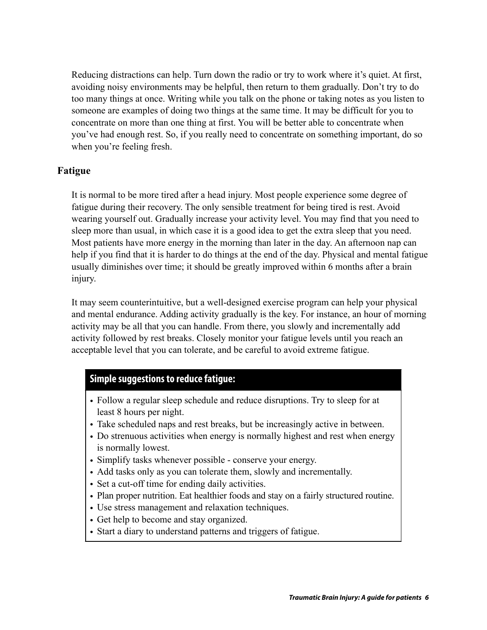Reducing distractions can help. Turn down the radio or try to work where it's quiet. At first, avoiding noisy environments may be helpful, then return to them gradually. Don't try to do too many things at once. Writing while you talk on the phone or taking notes as you listen to someone are examples of doing two things at the same time. It may be difficult for you to concentrate on more than one thing at first. You will be better able to concentrate when you've had enough rest. So, if you really need to concentrate on something important, do so when you're feeling fresh.

#### **Fatigue**

It is normal to be more tired after a head injury. Most people experience some degree of fatigue during their recovery. The only sensible treatment for being tired is rest. Avoid wearing yourself out. Gradually increase your activity level. You may find that you need to sleep more than usual, in which case it is a good idea to get the extra sleep that you need. Most patients have more energy in the morning than later in the day. An afternoon nap can help if you find that it is harder to do things at the end of the day. Physical and mental fatigue usually diminishes over time; it should be greatly improved within 6 months after a brain injury.

It may seem counterintuitive, but a well-designed exercise program can help your physical and mental endurance. Adding activity gradually is the key. For instance, an hour of morning activity may be all that you can handle. From there, you slowly and incrementally add activity followed by rest breaks. Closely monitor your fatigue levels until you reach an acceptable level that you can tolerate, and be careful to avoid extreme fatigue.

#### **Simple suggestions to reduce fatigue:**

- Follow a regular sleep schedule and reduce disruptions. Try to sleep for at least 8 hours per night.
- Take scheduled naps and rest breaks, but be increasingly active in between.
- Do strenuous activities when energy is normally highest and rest when energy is normally lowest.
- Simplify tasks whenever possible conserve your energy.
- Add tasks only as you can tolerate them, slowly and incrementally.
- Set a cut-off time for ending daily activities.
- Plan proper nutrition. Eat healthier foods and stay on a fairly structured routine.
- Use stress management and relaxation techniques.
- Get help to become and stay organized.
- Start a diary to understand patterns and triggers of fatigue.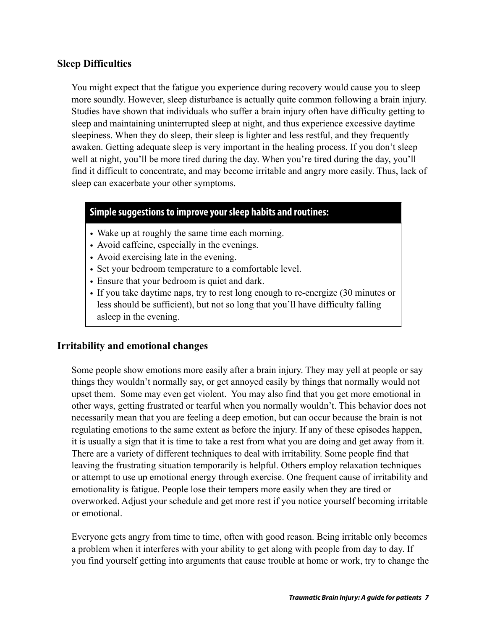#### **Sleep Difficulties**

You might expect that the fatigue you experience during recovery would cause you to sleep more soundly. However, sleep disturbance is actually quite common following a brain injury. Studies have shown that individuals who suffer a brain injury often have difficulty getting to sleep and maintaining uninterrupted sleep at night, and thus experience excessive daytime sleepiness. When they do sleep, their sleep is lighter and less restful, and they frequently awaken. Getting adequate sleep is very important in the healing process. If you don't sleep well at night, you'll be more tired during the day. When you're tired during the day, you'll find it difficult to concentrate, and may become irritable and angry more easily. Thus, lack of sleep can exacerbate your other symptoms.

#### **Simple suggestions to improve your sleep habits and routines:**

- Wake up at roughly the same time each morning.
- Avoid caffeine, especially in the evenings.
- Avoid exercising late in the evening.
- Set your bedroom temperature to a comfortable level.
- Ensure that your bedroom is quiet and dark.
- If you take daytime naps, try to rest long enough to re-energize (30 minutes or less should be sufficient), but not so long that you'll have difficulty falling asleep in the evening.

#### **Irritability and emotional changes**

Some people show emotions more easily after a brain injury. They may yell at people or say things they wouldn't normally say, or get annoyed easily by things that normally would not upset them. Some may even get violent. You may also find that you get more emotional in other ways, getting frustrated or tearful when you normally wouldn't. This behavior does not necessarily mean that you are feeling a deep emotion, but can occur because the brain is not regulating emotions to the same extent as before the injury. If any of these episodes happen, it is usually a sign that it is time to take a rest from what you are doing and get away from it. There are a variety of different techniques to deal with irritability. Some people find that leaving the frustrating situation temporarily is helpful. Others employ relaxation techniques or attempt to use up emotional energy through exercise. One frequent cause of irritability and emotionality is fatigue. People lose their tempers more easily when they are tired or overworked. Adjust your schedule and get more rest if you notice yourself becoming irritable or emotional.

Everyone gets angry from time to time, often with good reason. Being irritable only becomes a problem when it interferes with your ability to get along with people from day to day. If you find yourself getting into arguments that cause trouble at home or work, try to change the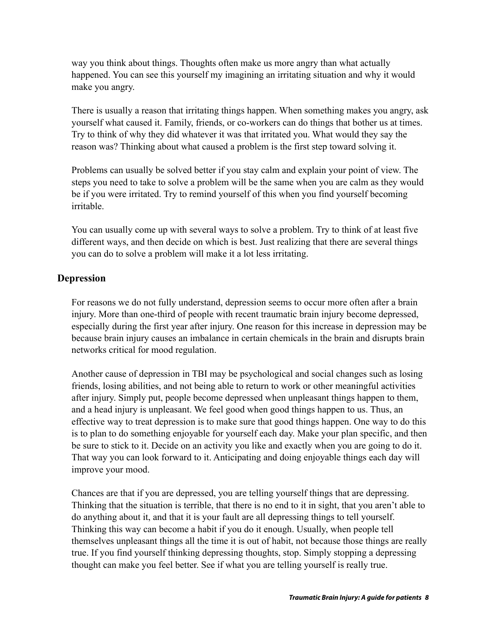way you think about things. Thoughts often make us more angry than what actually happened. You can see this yourself my imagining an irritating situation and why it would make you angry.

There is usually a reason that irritating things happen. When something makes you angry, ask yourself what caused it. Family, friends, or co-workers can do things that bother us at times. Try to think of why they did whatever it was that irritated you. What would they say the reason was? Thinking about what caused a problem is the first step toward solving it.

Problems can usually be solved better if you stay calm and explain your point of view. The steps you need to take to solve a problem will be the same when you are calm as they would be if you were irritated. Try to remind yourself of this when you find yourself becoming irritable.

You can usually come up with several ways to solve a problem. Try to think of at least five different ways, and then decide on which is best. Just realizing that there are several things you can do to solve a problem will make it a lot less irritating.

#### **Depression**

For reasons we do not fully understand, depression seems to occur more often after a brain injury. More than one-third of people with recent traumatic brain injury become depressed, especially during the first year after injury. One reason for this increase in depression may be because brain injury causes an imbalance in certain chemicals in the brain and disrupts brain networks critical for mood regulation.

Another cause of depression in TBI may be psychological and social changes such as losing friends, losing abilities, and not being able to return to work or other meaningful activities after injury. Simply put, people become depressed when unpleasant things happen to them, and a head injury is unpleasant. We feel good when good things happen to us. Thus, an effective way to treat depression is to make sure that good things happen. One way to do this is to plan to do something enjoyable for yourself each day. Make your plan specific, and then be sure to stick to it. Decide on an activity you like and exactly when you are going to do it. That way you can look forward to it. Anticipating and doing enjoyable things each day will improve your mood.

Chances are that if you are depressed, you are telling yourself things that are depressing. Thinking that the situation is terrible, that there is no end to it in sight, that you aren't able to do anything about it, and that it is your fault are all depressing things to tell yourself. Thinking this way can become a habit if you do it enough. Usually, when people tell themselves unpleasant things all the time it is out of habit, not because those things are really true. If you find yourself thinking depressing thoughts, stop. Simply stopping a depressing thought can make you feel better. See if what you are telling yourself is really true.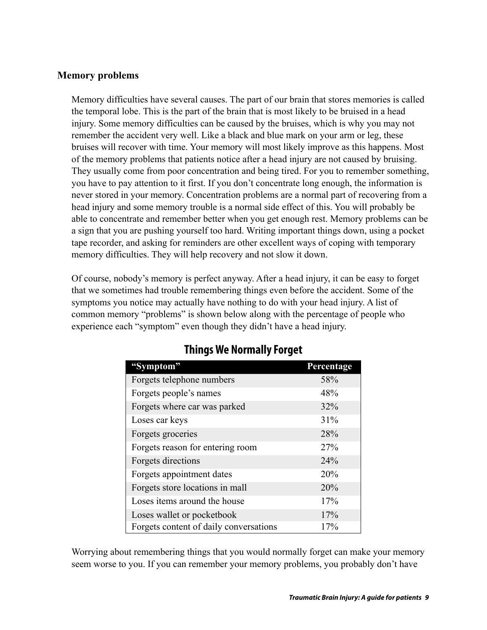#### **Memory problems**

Memory difficulties have several causes. The part of our brain that stores memories is called the temporal lobe. This is the part of the brain that is most likely to be bruised in a head injury. Some memory difficulties can be caused by the bruises, which is why you may not remember the accident very well. Like a black and blue mark on your arm or leg, these bruises will recover with time. Your memory will most likely improve as this happens. Most of the memory problems that patients notice after a head injury are not caused by bruising. They usually come from poor concentration and being tired. For you to remember something, you have to pay attention to it first. If you don't concentrate long enough, the information is never stored in your memory. Concentration problems are a normal part of recovering from a head injury and some memory trouble is a normal side effect of this. You will probably be able to concentrate and remember better when you get enough rest. Memory problems can be a sign that you are pushing yourself too hard. Writing important things down, using a pocket tape recorder, and asking for reminders are other excellent ways of coping with temporary memory difficulties. They will help recovery and not slow it down.

Of course, nobody's memory is perfect anyway. After a head injury, it can be easy to forget that we sometimes had trouble remembering things even before the accident. Some of the symptoms you notice may actually have nothing to do with your head injury. A list of common memory "problems" is shown below along with the percentage of people who experience each "symptom" even though they didn't have a head injury.

| "Symptom"                              | <b>Percentage</b> |
|----------------------------------------|-------------------|
| Forgets telephone numbers              | 58%               |
| Forgets people's names                 | 48%               |
| Forgets where car was parked           | 32%               |
| Loses car keys                         | 31%               |
| Forgets groceries                      | 28%               |
| Forgets reason for entering room       | 27%               |
| Forgets directions                     | 24%               |
| Forgets appointment dates              | 20%               |
| Forgets store locations in mall        | 20%               |
| Loses items around the house           | 17%               |
| Loses wallet or pocketbook             | 17%               |
| Forgets content of daily conversations | 17%               |

## **Things We Normally Forget**

Worrying about remembering things that you would normally forget can make your memory seem worse to you. If you can remember your memory problems, you probably don't have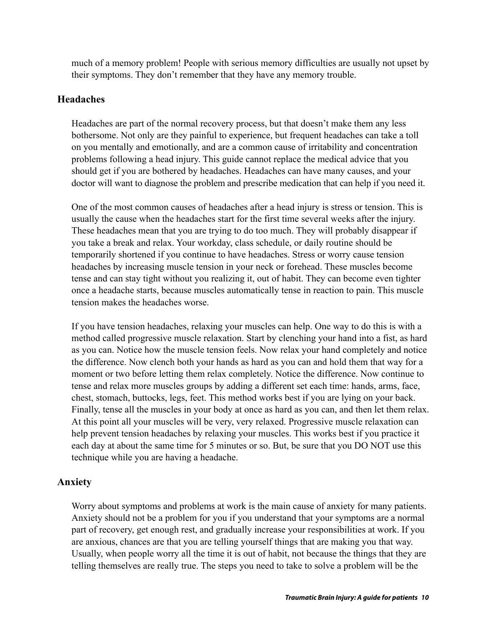much of a memory problem! People with serious memory difficulties are usually not upset by their symptoms. They don't remember that they have any memory trouble.

#### **Headaches**

Headaches are part of the normal recovery process, but that doesn't make them any less bothersome. Not only are they painful to experience, but frequent headaches can take a toll on you mentally and emotionally, and are a common cause of irritability and concentration problems following a head injury. This guide cannot replace the medical advice that you should get if you are bothered by headaches. Headaches can have many causes, and your doctor will want to diagnose the problem and prescribe medication that can help if you need it.

One of the most common causes of headaches after a head injury is stress or tension. This is usually the cause when the headaches start for the first time several weeks after the injury. These headaches mean that you are trying to do too much. They will probably disappear if you take a break and relax. Your workday, class schedule, or daily routine should be temporarily shortened if you continue to have headaches. Stress or worry cause tension headaches by increasing muscle tension in your neck or forehead. These muscles become tense and can stay tight without you realizing it, out of habit. They can become even tighter once a headache starts, because muscles automatically tense in reaction to pain. This muscle tension makes the headaches worse.

If you have tension headaches, relaxing your muscles can help. One way to do this is with a method called progressive muscle relaxation. Start by clenching your hand into a fist, as hard as you can. Notice how the muscle tension feels. Now relax your hand completely and notice the difference. Now clench both your hands as hard as you can and hold them that way for a moment or two before letting them relax completely. Notice the difference. Now continue to tense and relax more muscles groups by adding a different set each time: hands, arms, face, chest, stomach, buttocks, legs, feet. This method works best if you are lying on your back. Finally, tense all the muscles in your body at once as hard as you can, and then let them relax. At this point all your muscles will be very, very relaxed. Progressive muscle relaxation can help prevent tension headaches by relaxing your muscles. This works best if you practice it each day at about the same time for 5 minutes or so. But, be sure that you DO NOT use this technique while you are having a headache.

#### **Anxiety**

Worry about symptoms and problems at work is the main cause of anxiety for many patients. Anxiety should not be a problem for you if you understand that your symptoms are a normal part of recovery, get enough rest, and gradually increase your responsibilities at work. If you are anxious, chances are that you are telling yourself things that are making you that way. Usually, when people worry all the time it is out of habit, not because the things that they are telling themselves are really true. The steps you need to take to solve a problem will be the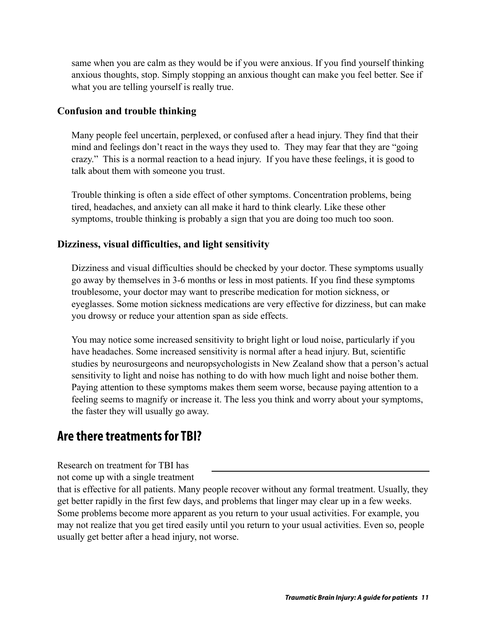same when you are calm as they would be if you were anxious. If you find yourself thinking anxious thoughts, stop. Simply stopping an anxious thought can make you feel better. See if what you are telling yourself is really true.

#### **Confusion and trouble thinking**

Many people feel uncertain, perplexed, or confused after a head injury. They find that their mind and feelings don't react in the ways they used to. They may fear that they are "going crazy." This is a normal reaction to a head injury. If you have these feelings, it is good to talk about them with someone you trust.

Trouble thinking is often a side effect of other symptoms. Concentration problems, being tired, headaches, and anxiety can all make it hard to think clearly. Like these other symptoms, trouble thinking is probably a sign that you are doing too much too soon.

#### **Dizziness, visual difficulties, and light sensitivity**

Dizziness and visual difficulties should be checked by your doctor. These symptoms usually go away by themselves in 3-6 months or less in most patients. If you find these symptoms troublesome, your doctor may want to prescribe medication for motion sickness, or eyeglasses. Some motion sickness medications are very effective for dizziness, but can make you drowsy or reduce your attention span as side effects.

You may notice some increased sensitivity to bright light or loud noise, particularly if you have headaches. Some increased sensitivity is normal after a head injury. But, scientific studies by neurosurgeons and neuropsychologists in New Zealand show that a person's actual sensitivity to light and noise has nothing to do with how much light and noise bother them. Paying attention to these symptoms makes them seem worse, because paying attention to a feeling seems to magnify or increase it. The less you think and worry about your symptoms, the faster they will usually go away.

## **Are there treatments for TBI?**

#### Research on treatment for TBI has

not come up with a single treatment

that is effective for all patients. Many people recover without any formal treatment. Usually, they get better rapidly in the first few days, and problems that linger may clear up in a few weeks. Some problems become more apparent as you return to your usual activities. For example, you may not realize that you get tired easily until you return to your usual activities. Even so, people usually get better after a head injury, not worse.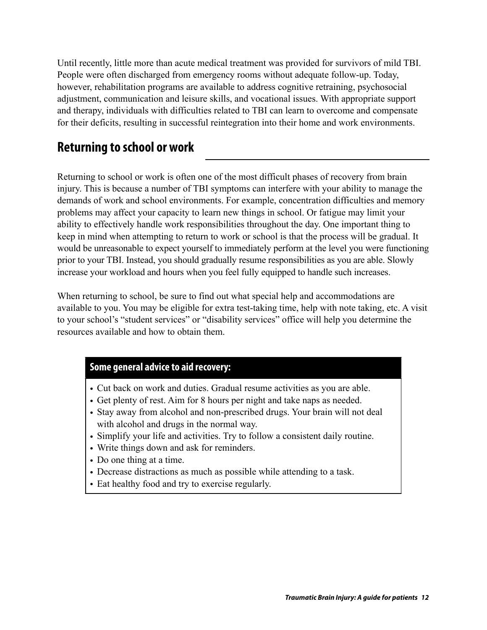Until recently, little more than acute medical treatment was provided for survivors of mild TBI. People were often discharged from emergency rooms without adequate follow-up. Today, however, rehabilitation programs are available to address cognitive retraining, psychosocial adjustment, communication and leisure skills, and vocational issues. With appropriate support and therapy, individuals with difficulties related to TBI can learn to overcome and compensate for their deficits, resulting in successful reintegration into their home and work environments.

# **Returning to school or work**

 would be unreasonable to expect yourself to immediately perform at the level you were functioning prior to your TBI. Instead, you should gradually resume responsibilities as you are able. Slowly Returning to school or work is often one of the most difficult phases of recovery from brain injury. This is because a number of TBI symptoms can interfere with your ability to manage the demands of work and school environments. For example, concentration difficulties and memory problems may affect your capacity to learn new things in school. Or fatigue may limit your ability to effectively handle work responsibilities throughout the day. One important thing to keep in mind when attempting to return to work or school is that the process will be gradual. It increase your workload and hours when you feel fully equipped to handle such increases.

When returning to school, be sure to find out what special help and accommodations are available to you. You may be eligible for extra test-taking time, help with note taking, etc. A visit to your school's "student services" or "disability services" office will help you determine the resources available and how to obtain them.

### **Some general advice to aid recovery:**

- Cut back on work and duties. Gradual resume activities as you are able.
- Get plenty of rest. Aim for 8 hours per night and take naps as needed.
- Stay away from alcohol and non-prescribed drugs. Your brain will not deal with alcohol and drugs in the normal way.
- Simplify your life and activities. Try to follow a consistent daily routine.
- Write things down and ask for reminders.
- Do one thing at a time.
- Decrease distractions as much as possible while attending to a task.
- Eat healthy food and try to exercise regularly.